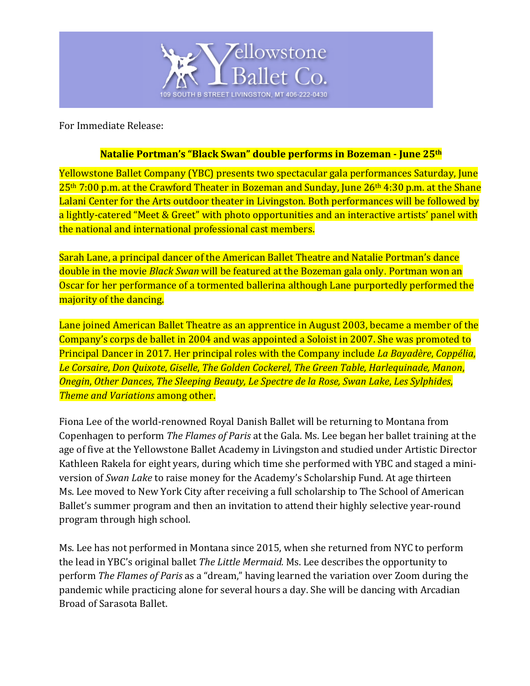

For Immediate Release:

## **Natalie Portman's "Black Swan" double performs in Bozeman - June 25<sup>th</sup></u>**

Yellowstone Ballet Company (YBC) presents two spectacular gala performances Saturday, June 25<sup>th</sup> 7:00 p.m. at the Crawford Theater in Bozeman and Sunday, June 26<sup>th</sup> 4:30 p.m. at the Shane Lalani Center for the Arts outdoor theater in Livingston. Both performances will be followed by a lightly-catered "Meet & Greet" with photo opportunities and an interactive artists' panel with the national and international professional cast members.

Sarah Lane, a principal dancer of the American Ballet Theatre and Natalie Portman's dance double in the movie *Black Swan* will be featured at the Bozeman gala only. Portman won an Oscar for her performance of a tormented ballerina although Lane purportedly performed the majority of the dancing.

Lane joined American Ballet Theatre as an apprentice in August 2003, became a member of the Company's corps de ballet in 2004 and was appointed a Soloist in 2007. She was promoted to Principal Dancer in 2017. Her principal roles with the Company include *La Bayadère, Coppélia*, *Le Corsaire*, *Don Quixote*, *Giselle*, *The Golden Cockerel, The Green Table, Harlequinade, Manon*, *Onegin*, *Other Dances*, *The Sleeping Beauty, Le Spectre de la Rose, Swan Lake*, *Les Sylphides*, *Theme and Variations* among other.

Fiona Lee of the world-renowned Royal Danish Ballet will be returning to Montana from Copenhagen to perform *The Flames of Paris* at the Gala. Ms. Lee began her ballet training at the age of five at the Yellowstone Ballet Academy in Livingston and studied under Artistic Director Kathleen Rakela for eight years, during which time she performed with YBC and staged a miniversion of *Swan Lake* to raise money for the Academy's Scholarship Fund. At age thirteen Ms. Lee moved to New York City after receiving a full scholarship to The School of American Ballet's summer program and then an invitation to attend their highly selective year-round program through high school.

Ms. Lee has not performed in Montana since 2015, when she returned from NYC to perform the lead in YBC's original ballet *The Little Mermaid*. Ms. Lee describes the opportunity to perform *The Flames of Paris* as a "dream," having learned the variation over Zoom during the pandemic while practicing alone for several hours a day. She will be dancing with Arcadian Broad of Sarasota Ballet.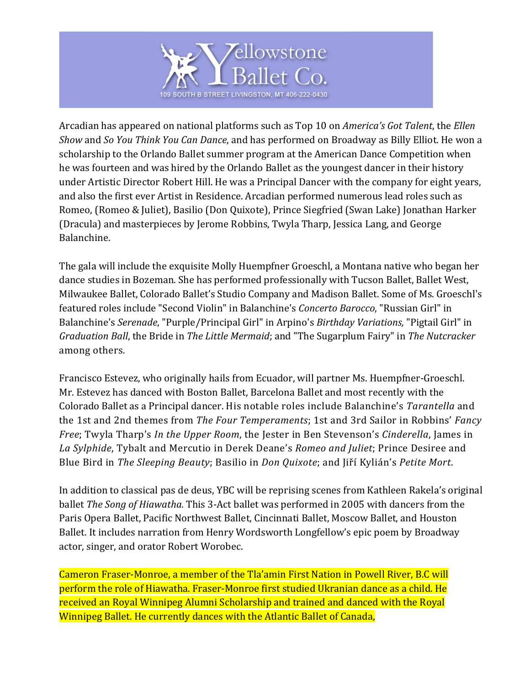

Arcadian has appeared on national platforms such as Top 10 on *America's Got Talent*, the *Ellen Show* and *So You Think You Can Dance*, and has performed on Broadway as Billy Elliot. He won a scholarship to the Orlando Ballet summer program at the American Dance Competition when he was fourteen and was hired by the Orlando Ballet as the youngest dancer in their history under Artistic Director Robert Hill. He was a Principal Dancer with the company for eight years, and also the first ever Artist in Residence. Arcadian performed numerous lead roles such as Romeo, (Romeo & Juliet), Basilio (Don Quixote), Prince Siegfried (Swan Lake) Jonathan Harker (Dracula) and masterpieces by Jerome Robbins, Twyla Tharp, Jessica Lang, and George Balanchine. 

The gala will include the exquisite Molly Huempfner Groeschl, a Montana native who began her dance studies in Bozeman. She has performed professionally with Tucson Ballet, Ballet West, Milwaukee Ballet, Colorado Ballet's Studio Company and Madison Ballet. Some of Ms. Groeschl's featured roles include "Second Violin" in Balanchine's *Concerto Barocco*, "Russian Girl" in Balanchine's *Serenade*, "Purple/Principal Girl" in Arpino's *Birthday Variations*, "Pigtail Girl" in *Graduation Ball*, the Bride in *The Little Mermaid*; and "The Sugarplum Fairy" in *The Nutcracker* among others*.*

Francisco Estevez, who originally hails from Ecuador, will partner Ms. Huempfner-Groeschl. Mr. Estevez has danced with Boston Ballet, Barcelona Ballet and most recently with the Colorado Ballet as a Principal dancer. His notable roles include Balanchine's *Tarantella* and the 1st and 2nd themes from *The Four Temperaments*; 1st and 3rd Sailor in Robbins' *Fancy Free*; Twyla Tharp's *In the Upper Room*, the Jester in Ben Stevenson's *Cinderella*, James in La Sylphide, Tybalt and Mercutio in Derek Deane's *Romeo and Juliet*; Prince Desiree and Blue Bird in *The Sleeping Beauty*; Basilio in *Don Quixote*; and *Jiří Kylián's Petite Mort*.

In addition to classical pas de deus, YBC will be reprising scenes from Kathleen Rakela's original **ballet** *The Song of Hiawatha*. This 3-Act ballet was performed in 2005 with dancers from the Paris Opera Ballet, Pacific Northwest Ballet, Cincinnati Ballet, Moscow Ballet, and Houston Ballet. It includes narration from Henry Wordsworth Longfellow's epic poem by Broadway actor, singer, and orator Robert Worobec.

Cameron Fraser-Monroe, a member of the Tla'amin First Nation in Powell River, B.C will perform the role of Hiawatha. Fraser-Monroe first studied Ukranian dance as a child. He received an Royal Winnipeg Alumni Scholarship and trained and danced with the Royal Winnipeg Ballet. He currently dances with the Atlantic Ballet of Canada,